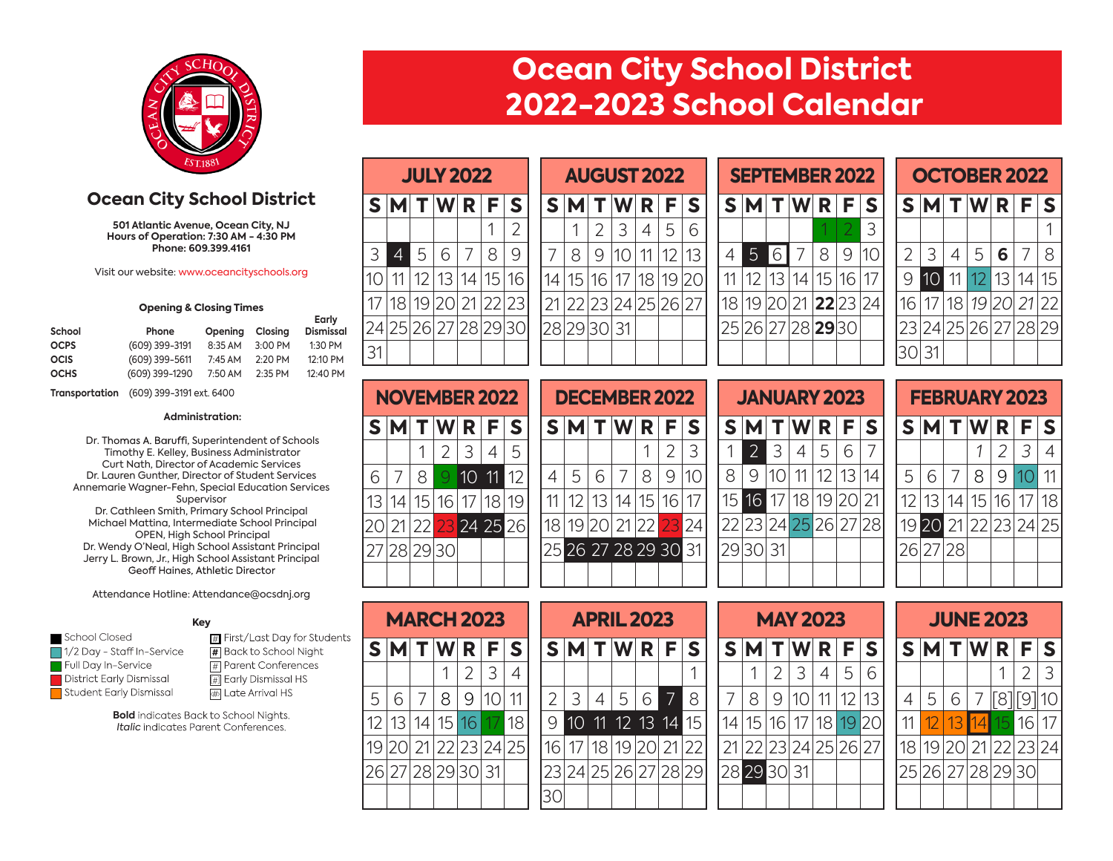

## **Ocean City School District 2022-2023 School Calendar**

**Ocean City School District**

**501 Atlantic Avenue, Ocean City, NJ Hours of Operation: 7:30 AM - 4:30 PM Phone: 609.399.4161**

Visit our website: www.oceancityschools.org

#### **Opening & Closing Times**

| School      | Phone          | Opening | Closina   | Early<br><b>Dismissal</b> |
|-------------|----------------|---------|-----------|---------------------------|
| <b>OCPS</b> | (609) 399-3191 | 8:35 AM | $3:00$ PM | 1:30 PM                   |
| <b>OCIS</b> | (609) 399-5611 | 7:45 AM | 2:20 PM   | 12:10 PM                  |
| <b>OCHS</b> | (609) 399-1290 | 7:50 AM | $2:35$ PM | 12:40 PM                  |

**Transportation** (609) 399-3191 ext. 6400

#### **Administration:**

Dr. Thomas A. Baruffi, Superintendent of Schools Timothy E. Kelley, Business Administrator Curt Nath, Director of Academic Services Dr. Lauren Gunther, Director of Student Services Annemarie Wagner-Fehn, Special Education Services Supervisor Dr. Cathleen Smith, Primary School Principal Michael Mattina, Intermediate School Principal Dr. Wendy O'Neal, High School Assistant Principal Jerry L. Brown, Jr., High School Assistant Principal OPEN, High School Principal

#### Attendance Hotline: Attendance@ocsdnj.org

#### **Key**

- $\Box$  1/2 Day Staff In-Service Full Day In-Service District Early Dismissal Student Early Dismissal
- $\blacksquare$  School Closed  $\blacksquare$  First/Last Day for Students **#** Back to School Night # Parent Conferences [#] Early Dismissal HS <a>Inte<br/>Arrival HS

**Bold** indicates Back to School Nights. *Italic* indicates Parent Conferences.

|                |                   | <b>JULY 2022</b>       |                |   |   |    |
|----------------|-------------------|------------------------|----------------|---|---|----|
|                | $S$ MTWRF         |                        |                |   |   | S  |
|                |                   |                        |                |   |   | 2  |
| 3              | 4                 | 5                      | $\,$ $\,$ $\,$ | 7 | 8 | 9  |
|                | 11                | 12   13   14   15   16 |                |   |   |    |
| 17             | 18                |                        | 19 20 21 22 23 |   |   |    |
|                | 24 25 26 27 28 29 |                        |                |   |   | 30 |
| $\overline{3}$ |                   |                        |                |   |   |    |

|   |  | <b>NOVEMBER 2022</b>                             |   |   |
|---|--|--------------------------------------------------|---|---|
|   |  | $S$ M $T$ W $R$ $F$                              |   | S |
|   |  | $\begin{array}{c c c c c} 2 & 3 & 3 \end{array}$ | 4 | 5 |
| 6 |  | 7   8   9   10   11   12                         |   |   |
|   |  | 13 14 15 16 17 18 19                             |   |   |
|   |  | 20 21 22 <mark>23</mark> 24 25 26                |   |   |
|   |  | 27 28 29 30                                      |   |   |
|   |  |                                                  |   |   |

|   |                 |                 | Wl              | R              | F                    | S   | S  | M                    |    |                                                | R  | F. | S  |  | S  |                |                       | W           | R   | F.              | S |    | S. | 'M              |       | W                    | R. | F   |  |
|---|-----------------|-----------------|-----------------|----------------|----------------------|-----|----|----------------------|----|------------------------------------------------|----|----|----|--|----|----------------|-----------------------|-------------|-----|-----------------|---|----|----|-----------------|-------|----------------------|----|-----|--|
|   |                 |                 |                 |                |                      | ⌒   |    |                      |    | 3                                              | 4  | 5  | 6  |  |    |                |                       |             |     |                 | 3 |    |    |                 |       |                      |    |     |  |
|   | $\overline{4}$  | 5               | 6               |                | 8                    | 9   |    | 8                    | 9  | 10                                             |    | 12 | 13 |  | 4  | 5 <sup>1</sup> | 6                     |             | 8   | 9               |   | 2  |    | 3               |       | 5                    | 6  |     |  |
|   | 11              | 12              | 13 <sub>1</sub> | 14             | 15                   | 16. | 14 | 15                   | 16 | 17                                             | 18 | 19 | 20 |  |    |                | 13 <sub>1</sub>       | 14          | 15  | 16 <sub>1</sub> |   | 9  |    | 10 <sup>°</sup> | 11    | 12                   | 13 | 14  |  |
|   | 18 <sub>1</sub> | 19 <sub>1</sub> | 20 <sub>1</sub> | 21             | 22                   | 23  | 21 | 22                   | 23 | 24 25 26                                       |    |    |    |  | 18 | 19             | 201                   | 21          |     | 22 23 24        |   | 16 |    |                 | 18    | 19                   | 20 | 21  |  |
|   |                 | 4 25 26         |                 | 27 28          | 29                   | 30  |    | 28 29 30             |    | 31                                             |    |    |    |  | 25 | 26             |                       | 27 28 29 30 |     |                 |   |    | 23 |                 | 24 25 | 26                   | 27 | 282 |  |
| 1 |                 |                 |                 |                |                      |     |    |                      |    |                                                |    |    |    |  |    |                |                       |             |     |                 |   |    |    | 30 31           |       |                      |    |     |  |
|   |                 |                 |                 |                |                      |     |    |                      |    |                                                |    |    |    |  |    |                |                       |             |     |                 |   |    |    |                 |       |                      |    |     |  |
|   |                 |                 |                 |                | <b>NOVEMBER 2022</b> |     |    | <b>DECEMBER 2022</b> |    |                                                |    |    |    |  |    |                | <b>JANUARY 2023</b>   |             |     |                 |   |    |    |                 |       | <b>FEBRUARY 2023</b> |    |     |  |
|   |                 |                 |                 | <b>NAPRALE</b> |                      |     |    |                      |    | $\mathbf{r}$ is a $\mathbf{r}$ in $\mathbf{r}$ |    |    |    |  |    |                | $\sim$ in all we have |             | . . |                 |   |    |    |                 |       | 8 N 4 T N 4 B B F    |    |     |  |

|                |                   |   |                |   | <b>DECEMBER 2022</b> |    |  |
|----------------|-------------------|---|----------------|---|----------------------|----|--|
|                | $S$ M $T$ W $R$ F |   |                |   |                      | S  |  |
|                |                   |   |                |   | 2                    | 3  |  |
| $\overline{4}$ | 5                 | 6 | 7 <sup>1</sup> | 8 | 9                    | 10 |  |
| 11             |                   |   |                |   | 12 13 14 15 16 17    |    |  |
|                |                   |   |                |   | 18 19 20 21 22 23 24 |    |  |
|                |                   |   |                |   | 25 26 27 28 29 30 31 |    |  |
|                |                   |   |                |   |                      |    |  |

|     | <b>AUGUST 2022</b> |    |            |    |    |    |  |   |                 |   |                   | <b>SEPTEMBER 2022</b> |    |
|-----|--------------------|----|------------|----|----|----|--|---|-----------------|---|-------------------|-----------------------|----|
|     | SMI                |    | T[W R F S] |    |    |    |  |   | $M$ T $W$ R $F$ |   |                   |                       | S  |
|     |                    | 2  | 3          | 4  | 5  | 6  |  |   |                 |   |                   |                       |    |
| 7   | 8                  |    |            | 11 | 12 | 13 |  | 5 |                 |   | 8                 |                       |    |
| 14  | 15                 | 16 | 17         | 18 |    |    |  |   | 13              | 4 | 15                | 16                    |    |
| 21. | 22 23 24 25 26 27  |    |            |    |    |    |  |   | 20              |   | $21$ <b>22</b> 23 |                       | 24 |
|     | 28 29              |    |            |    |    |    |  |   | 26 27 28 29 30  |   |                   |                       |    |
|     |                    |    |            |    |    |    |  |   |                 |   |                   |                       |    |

|                      | <b>OCTOBER 2022</b><br>$S$ M $T$ W $R$ F |  |                   |  |  |     |  |  |  |  |  |  |  |  |
|----------------------|------------------------------------------|--|-------------------|--|--|-----|--|--|--|--|--|--|--|--|
|                      |                                          |  |                   |  |  | l S |  |  |  |  |  |  |  |  |
|                      |                                          |  |                   |  |  |     |  |  |  |  |  |  |  |  |
| $\overline{2}$       |                                          |  | 3 4 5 6 7         |  |  | 8   |  |  |  |  |  |  |  |  |
| $\overline{9}$       |                                          |  | 10 11 12 13 14 15 |  |  |     |  |  |  |  |  |  |  |  |
| 16 17 18 19 20 21 22 |                                          |  |                   |  |  |     |  |  |  |  |  |  |  |  |
| 23 24 25 26 27 28 29 |                                          |  |                   |  |  |     |  |  |  |  |  |  |  |  |
| 30 31                |                                          |  |                   |  |  |     |  |  |  |  |  |  |  |  |

|   | NOVEMBER 2022 |     |                 |    |                 |                                   |   | <b>DECEMBER 2022</b>              |                 |   |                 |     |    | <b>JANUARY 2023</b><br><b>FEBRUARY 2023</b> |                 |                 |    |   |     |             |                      |                 |                      |    |     |                 |       |                |
|---|---------------|-----|-----------------|----|-----------------|-----------------------------------|---|-----------------------------------|-----------------|---|-----------------|-----|----|---------------------------------------------|-----------------|-----------------|----|---|-----|-------------|----------------------|-----------------|----------------------|----|-----|-----------------|-------|----------------|
|   | SM            |     |                 | R. | F.              |                                   |   |                                   |                 | W | R               | F I | S  |                                             |                 |                 |    | W | R I | E I         |                      |                 |                      |    | W R |                 | F S   |                |
|   |               |     |                 |    |                 |                                   |   |                                   |                 |   |                 |     |    |                                             |                 |                 |    | 4 | 5   | 6           |                      |                 |                      |    |     |                 |       | $\overline{A}$ |
| 6 |               | 8   | 9               | 10 | 11              | 12                                | 4 | 5                                 | 6               |   | 8               | 9   |    |                                             | 8               |                 |    |   |     |             | 14                   | 5               |                      |    | 8   | 9               |       | 11             |
|   | 13   14       | 151 | 16 <sub>1</sub> |    | 18 <sub>1</sub> | 19                                |   |                                   | 13 <sub>1</sub> | 4 | 15 <sup>1</sup> | 16  | 17 |                                             | 15 <sup>1</sup> | 16 <sup>1</sup> | 17 |   |     | 18 19 20 21 |                      | 12 <sub>1</sub> | 13                   | 14 | 15  | 16 <sub>1</sub> | 17 18 |                |
|   |               |     |                 |    |                 | 20 21 22 <mark>23</mark> 24 25 26 |   | 18 19 20 21 22 <mark>23</mark> 24 |                 |   |                 |     |    |                                             |                 |                 |    |   |     |             | 22 23 24 25 26 27 28 |                 | 19 20 21 22 23 24 25 |    |     |                 |       |                |
|   | 27 28 29 30   |     |                 |    |                 |                                   |   | 25 26 27 28 29 30 31              |                 |   |                 |     |    |                                             |                 | 29 30 31        |    |   |     |             |                      |                 | 26 27 28             |    |     |                 |       |                |
|   |               |     |                 |    |                 |                                   |   |                                   |                 |   |                 |     |    |                                             |                 |                 |    |   |     |             |                      |                 |                      |    |     |                 |       |                |

|   | <b>FEBRUARY 2023</b> |                |   |                   |       |                         |
|---|----------------------|----------------|---|-------------------|-------|-------------------------|
|   | $S$ M $T$ W $R$ F    |                |   |                   |       | $\overline{\mathbf{S}}$ |
|   |                      |                | 1 | $\vert 2 \vert 3$ |       | 4                       |
| 5 | 6                    | $\overline{7}$ | 8 | $\lvert 9 \rvert$ | 10111 |                         |
|   | 12 13 14 15 16 17 18 |                |   |                   |       |                         |
|   | 19 20 21 22 23 24 25 |                |   |                   |       |                         |
|   | 26 27 28             |                |   |                   |       |                         |
|   |                      |                |   |                   |       |                         |

|                 | <b>MARCH 2023</b>           |   |   |   |    |                   |   |   |             | <b>APRIL 2023</b>    |   |   |   |
|-----------------|-----------------------------|---|---|---|----|-------------------|---|---|-------------|----------------------|---|---|---|
|                 | $S$ M $T$ W $R$ $F$ $S$     |   |   |   |    |                   |   |   |             | $S$ MTWRFS           |   |   |   |
|                 |                             |   |   | 2 | 3  |                   |   |   |             |                      |   |   |   |
| 5               | 6                           | 7 | 8 | 9 | 10 |                   |   | 3 | $4^{\circ}$ | 5 <sub>1</sub>       | 6 | 7 | 8 |
|                 | 12   13   14   15   16   17 |   |   |   |    | 18                | 9 |   |             | 10 11 12 13 14 15    |   |   |   |
| 19 <sup>1</sup> |                             |   |   |   |    | 20 21 22 23 24 25 |   |   |             | 18 19 20 21 22       |   |   |   |
|                 | 26 27 28 29 30 31           |   |   |   |    |                   |   |   |             | 23 24 25 26 27 28 29 |   |   |   |
|                 |                             |   |   |   |    |                   |   |   |             |                      |   |   |   |

|                      | <b>MAY 2023</b> |         |   |
|----------------------|-----------------|---------|---|
| $S$ MTWRFS           |                 |         |   |
|                      |                 | 2 3 4 5 | 6 |
|                      | 8 9 10 11 12 13 |         |   |
| 14 15 16 17 18 19 20 |                 |         |   |
| 21 22 23 24 25 26 27 |                 |         |   |
| 28 29 30 31          |                 |         |   |
|                      |                 |         |   |

|               | 2023 |                   |             |    |                 |    | <b>JUNE 2023</b>  |      |   |    |
|---------------|------|-------------------|-------------|----|-----------------|----|-------------------|------|---|----|
| W             | R.   | F                 | l S         |    |                 |    | $S$ M T W R F     |      |   | S  |
| $\mathcal{E}$ | 4    | 5                 | 6           |    |                 |    |                   |      | 2 | 3  |
| 10            |      | $12 \overline{ }$ | 13          | 4  | 5               | 6  | $\overline{7}$    |      |   |    |
| 17            | 18   | 19                | 20          |    | 12 <sup>°</sup> | 13 | $\vert$ 14        | 1516 |   | 17 |
|               |      |                   | 24 25 26 27 | 18 |                 |    | 19 20 21 22 23 24 |      |   |    |
| 31            |      |                   |             |    |                 |    | 25 26 27 28 29 30 |      |   |    |
|               |      |                   |             |    |                 |    |                   |      |   |    |